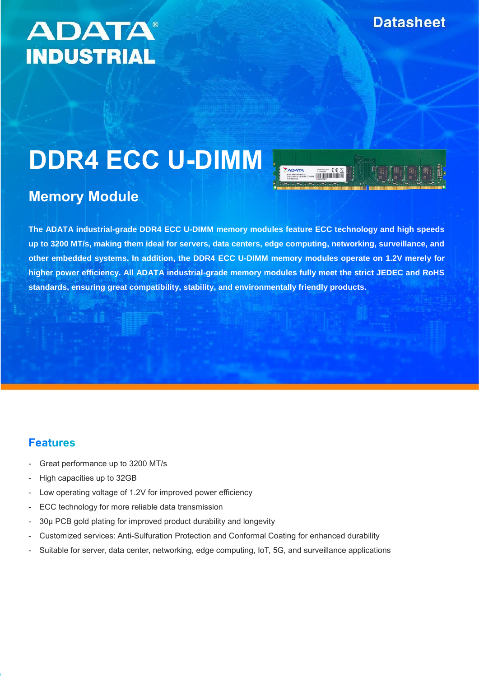## **ADATA® INDUSTRIAL**

# **DDR4 ECC U-DIMM**



### **Memory Module**

**The ADATA industrial-grade DDR4 ECC U-DIMM memory modules feature ECC technology and high speeds up to 3200 MT/s, making them ideal for servers, data centers, edge computing, networking, surveillance, and other embedded systems. In addition, the DDR4 ECC U-DIMM memory modules operate on 1.2V merely for higher power efficiency. All ADATA industrial-grade memory modules fully meet the strict JEDEC and RoHS standards, ensuring great compatibility, stability, and environmentally friendly products.**

#### **Features**

- Great performance up to 3200 MT/s
- High capacities up to 32GB
- Low operating voltage of 1.2V for improved power efficiency
- ECC technology for more reliable data transmission
- 30µ PCB gold plating for improved product durability and longevity
- Customized services: Anti-Sulfuration Protection and Conformal Coating for enhanced durability
- Suitable for server, data center, networking, edge computing, IoT, 5G, and surveillance applications